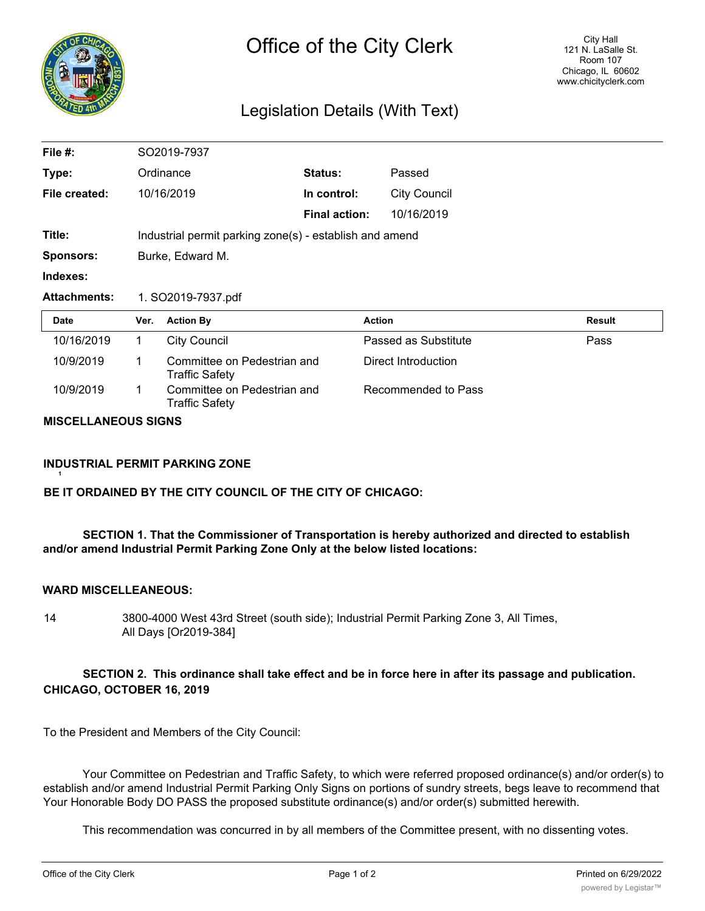

# Legislation Details (With Text)

| File #:             |                                                         | SO2019-7937                                          |                      |                      |               |
|---------------------|---------------------------------------------------------|------------------------------------------------------|----------------------|----------------------|---------------|
| Type:               |                                                         | Ordinance                                            | Status:              | Passed               |               |
| File created:       |                                                         | 10/16/2019                                           | In control:          | <b>City Council</b>  |               |
|                     |                                                         |                                                      | <b>Final action:</b> | 10/16/2019           |               |
| Title:              | Industrial permit parking zone(s) - establish and amend |                                                      |                      |                      |               |
| <b>Sponsors:</b>    | Burke, Edward M.                                        |                                                      |                      |                      |               |
|                     |                                                         |                                                      |                      |                      |               |
| Indexes:            |                                                         |                                                      |                      |                      |               |
| <b>Attachments:</b> |                                                         | 1. SO2019-7937.pdf                                   |                      |                      |               |
| Date                | Ver.                                                    | <b>Action By</b>                                     |                      | <b>Action</b>        | <b>Result</b> |
| 10/16/2019          | 1                                                       | <b>City Council</b>                                  |                      | Passed as Substitute | Pass          |
| 10/9/2019           | 1                                                       | Committee on Pedestrian and<br><b>Traffic Safety</b> |                      | Direct Introduction  |               |

#### **MISCELLANEOUS SIGNS**

# **INDUSTRIAL PERMIT PARKING ZONE**

# **BE IT ORDAINED BY THE CITY COUNCIL OF THE CITY OF CHICAGO:**

# **SECTION 1. That the Commissioner of Transportation is hereby authorized and directed to establish and/or amend Industrial Permit Parking Zone Only at the below listed locations:**

# **WARD MISCELLEANEOUS:**

**1**

14 3800-4000 West 43rd Street (south side); Industrial Permit Parking Zone 3, All Times, All Days [Or2019-384]

# **SECTION 2. This ordinance shall take effect and be in force here in after its passage and publication. CHICAGO, OCTOBER 16, 2019**

To the President and Members of the City Council:

Your Committee on Pedestrian and Traffic Safety, to which were referred proposed ordinance(s) and/or order(s) to establish and/or amend Industrial Permit Parking Only Signs on portions of sundry streets, begs leave to recommend that Your Honorable Body DO PASS the proposed substitute ordinance(s) and/or order(s) submitted herewith.

This recommendation was concurred in by all members of the Committee present, with no dissenting votes.